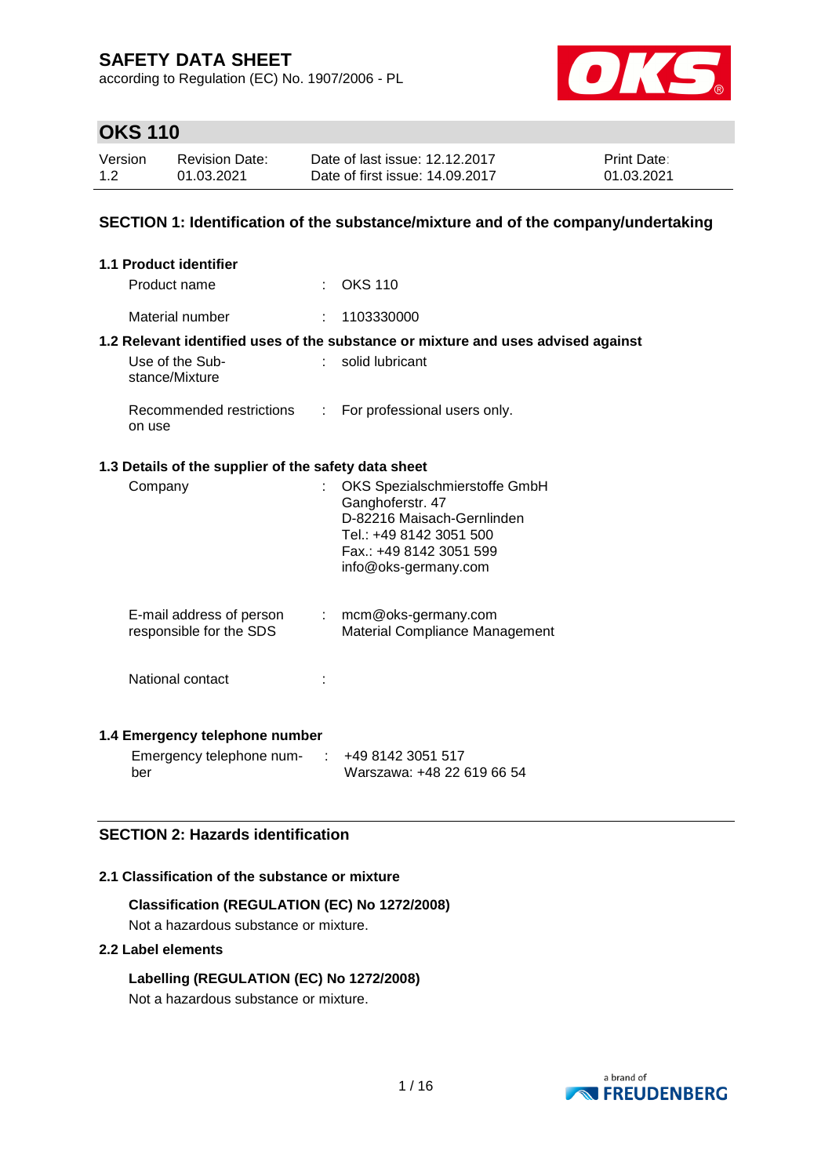according to Regulation (EC) No. 1907/2006 - PL



# **OKS 110**

| Version | <b>Revision Date:</b> | Date of last issue: 12.12.2017  | <b>Print Date:</b> |
|---------|-----------------------|---------------------------------|--------------------|
| 1.2     | 01.03.2021            | Date of first issue: 14.09.2017 | 01.03.2021         |

#### **SECTION 1: Identification of the substance/mixture and of the company/undertaking**

| 1.1 Product identifier                               |                                                                                                                                                               |
|------------------------------------------------------|---------------------------------------------------------------------------------------------------------------------------------------------------------------|
| Product name                                         | $:$ OKS 110                                                                                                                                                   |
| Material number                                      | 1103330000                                                                                                                                                    |
|                                                      | 1.2 Relevant identified uses of the substance or mixture and uses advised against                                                                             |
| Use of the Sub-<br>stance/Mixture                    | solid lubricant                                                                                                                                               |
| Recommended restrictions<br>on use                   | : For professional users only.                                                                                                                                |
| 1.3 Details of the supplier of the safety data sheet |                                                                                                                                                               |
| Company                                              | OKS Spezialschmierstoffe GmbH<br>Ganghoferstr. 47<br>D-82216 Maisach-Gernlinden<br>Tel.: +49 8142 3051 500<br>Fax.: +49 8142 3051 599<br>info@oks-germany.com |
| E-mail address of person<br>responsible for the SDS  | $:$ mcm@oks-germany.com<br><b>Material Compliance Management</b>                                                                                              |
| National contact                                     |                                                                                                                                                               |

#### **1.4 Emergency telephone number**

| Emergency telephone num- | : 4981423051517            |
|--------------------------|----------------------------|
| ber                      | Warszawa: +48 22 619 66 54 |

#### **SECTION 2: Hazards identification**

#### **2.1 Classification of the substance or mixture**

#### **Classification (REGULATION (EC) No 1272/2008)**

Not a hazardous substance or mixture.

#### **2.2 Label elements**

**Labelling (REGULATION (EC) No 1272/2008)**



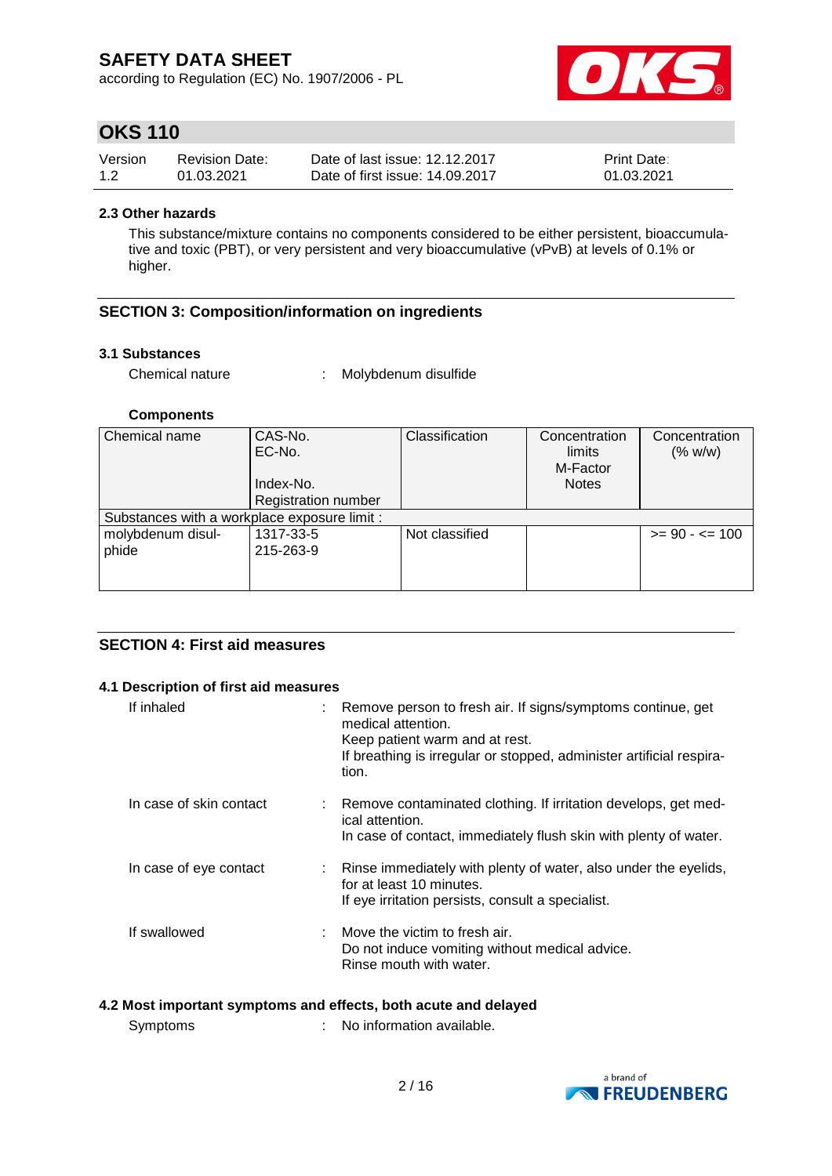according to Regulation (EC) No. 1907/2006 - PL



# **OKS 110**

| Version | <b>Revision Date:</b> | Date of last issue: 12.12.2017  | <b>Print Date:</b> |
|---------|-----------------------|---------------------------------|--------------------|
| 1.2     | 01.03.2021            | Date of first issue: 14.09.2017 | 01.03.2021         |

#### **2.3 Other hazards**

This substance/mixture contains no components considered to be either persistent, bioaccumulative and toxic (PBT), or very persistent and very bioaccumulative (vPvB) at levels of 0.1% or higher.

#### **SECTION 3: Composition/information on ingredients**

#### **3.1 Substances**

Chemical nature : Molybdenum disulfide

#### **Components**

|                                              |                            | <b>Notes</b> |                   |
|----------------------------------------------|----------------------------|--------------|-------------------|
| Index-No.                                    |                            |              |                   |
| Substances with a workplace exposure limit : |                            |              |                   |
| 1317-33-5                                    | Not classified             |              | $>= 90 - 5 = 100$ |
| 215-263-9                                    |                            |              |                   |
|                                              |                            |              |                   |
|                                              | <b>Registration number</b> |              |                   |

#### **SECTION 4: First aid measures**

#### **4.1 Description of first aid measures**

| If inhaled              | : Remove person to fresh air. If signs/symptoms continue, get<br>medical attention.<br>Keep patient warm and at rest.<br>If breathing is irregular or stopped, administer artificial respira-<br>tion. |
|-------------------------|--------------------------------------------------------------------------------------------------------------------------------------------------------------------------------------------------------|
| In case of skin contact | : Remove contaminated clothing. If irritation develops, get med-<br>ical attention.<br>In case of contact, immediately flush skin with plenty of water.                                                |
| In case of eye contact  | : Rinse immediately with plenty of water, also under the eyelids,<br>for at least 10 minutes.<br>If eye irritation persists, consult a specialist.                                                     |
| If swallowed            | $\therefore$ Move the victim to fresh air.<br>Do not induce vomiting without medical advice.<br>Rinse mouth with water.                                                                                |

#### **4.2 Most important symptoms and effects, both acute and delayed**

| Symptoms | No information available. |
|----------|---------------------------|
|          |                           |

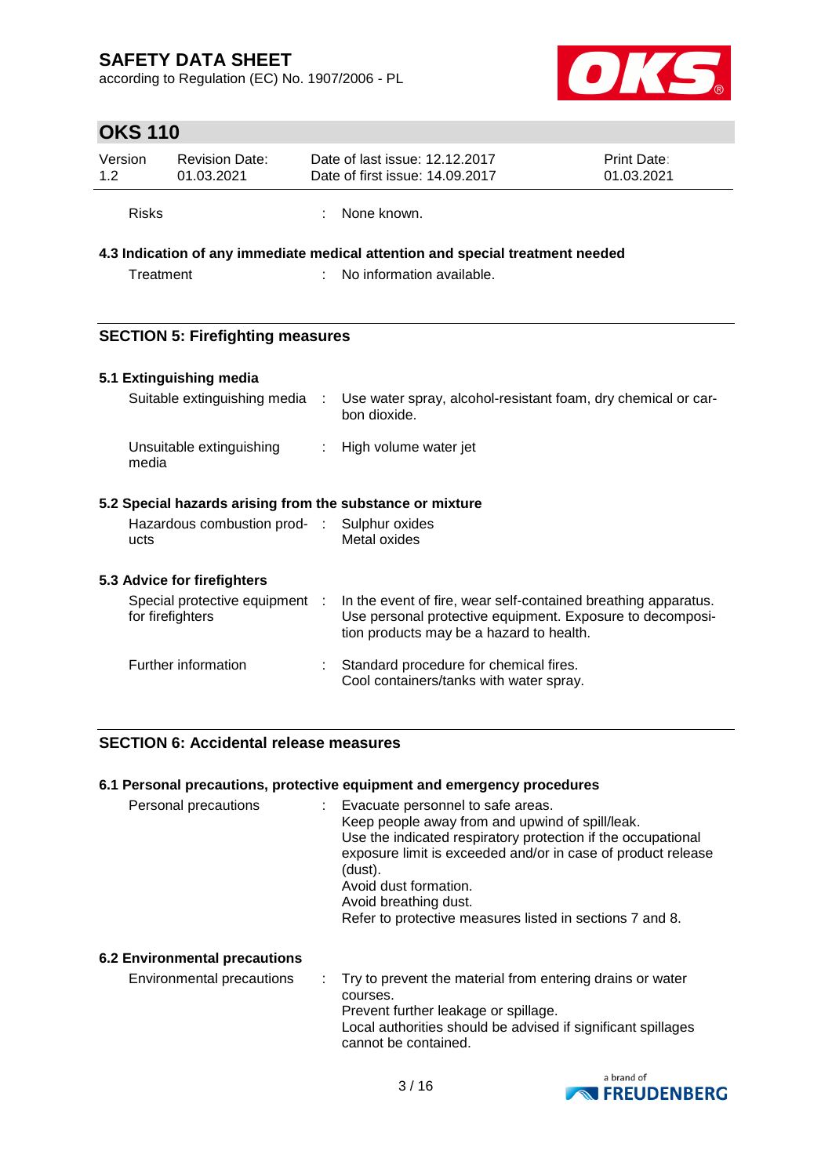according to Regulation (EC) No. 1907/2006 - PL



spray, alcohol-resistant foam, dry chemical or car-

# **OKS 110**

| Version      | <b>Revision Date:</b> | Date of last issue: 12.12.2017  | <b>Print Date:</b> |
|--------------|-----------------------|---------------------------------|--------------------|
| 1.2          | 01.03.2021            | Date of first issue: 14.09.2017 | 01.03.2021         |
| <b>Risks</b> |                       | None known.                     |                    |

### **4.3 Indication of any immediate medical attention and special treatment needed**

Treatment : No information available.

#### **SECTION 5: Firefighting measures**

| 5.1 Extinguishing media                     |              |
|---------------------------------------------|--------------|
| Suitable extinguishing media : Use water sp | bon dioxide. |

Unsuitable extinguishing : High volume water jet

#### **5.2 Special hazards arising from the substance or mixture**

| Hazardous combustion prod- | : Sulphur oxides |
|----------------------------|------------------|
| ucts                       | Metal oxides     |

#### **5.3 Advice for firefighters**

media

| Special protective equipment :<br>for firefighters | In the event of fire, wear self-contained breathing apparatus.<br>Use personal protective equipment. Exposure to decomposi-<br>tion products may be a hazard to health. |
|----------------------------------------------------|-------------------------------------------------------------------------------------------------------------------------------------------------------------------------|
| Further information                                | : Standard procedure for chemical fires.<br>Cool containers/tanks with water spray.                                                                                     |

#### **SECTION 6: Accidental release measures**

#### **6.1 Personal precautions, protective equipment and emergency procedures**

| (dust).<br>Avoid dust formation.<br>Avoid breathing dust.<br>Refer to protective measures listed in sections 7 and 8. |
|-----------------------------------------------------------------------------------------------------------------------|
|-----------------------------------------------------------------------------------------------------------------------|

#### **6.2 Environmental precautions**

Environmental precautions : Try to prevent the material from entering drains or water courses. Prevent further leakage or spillage. Local authorities should be advised if significant spillages cannot be contained.

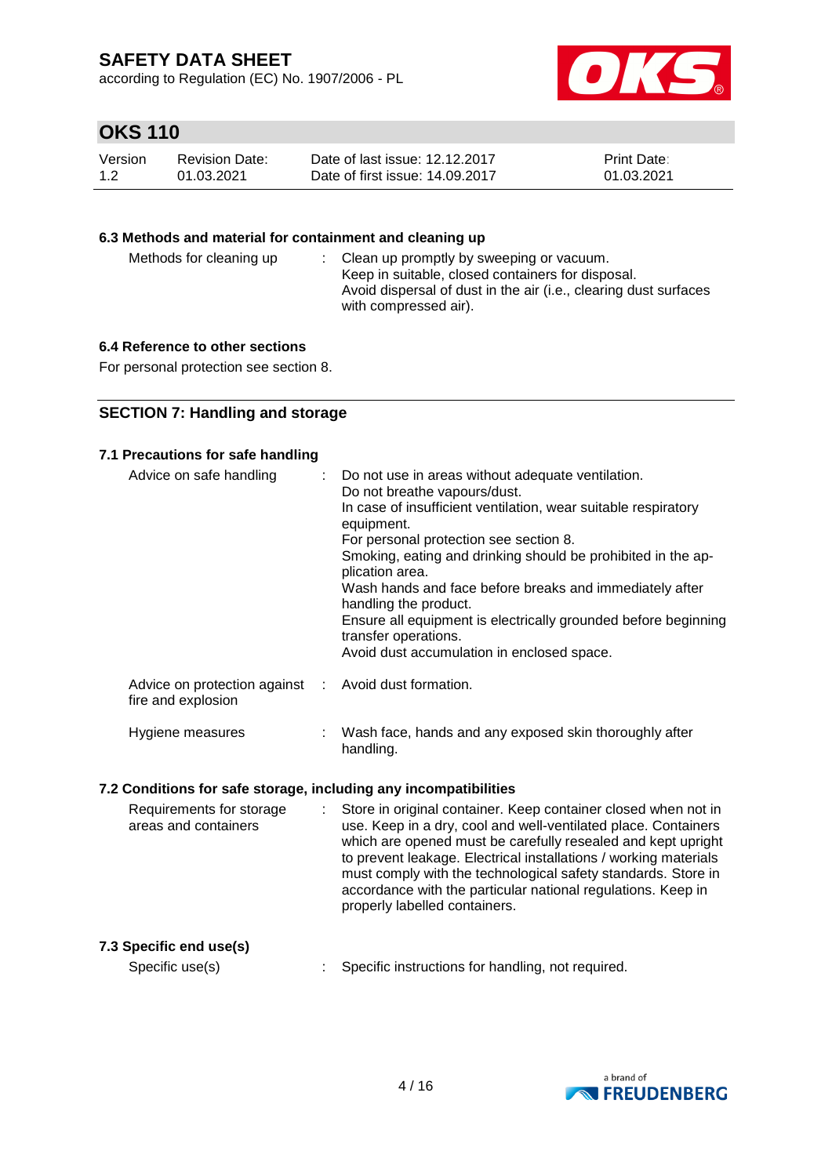according to Regulation (EC) No. 1907/2006 - PL



# **OKS 110**

| Version | Revision Date: | Date of last issue: 12.12.2017  | <b>Print Date:</b> |
|---------|----------------|---------------------------------|--------------------|
| 1.2     | 01.03.2021     | Date of first issue: 14.09.2017 | 01.03.2021         |

#### **6.3 Methods and material for containment and cleaning up**

| Methods for cleaning up |  | : Clean up promptly by sweeping or vacuum.<br>Keep in suitable, closed containers for disposal.<br>Avoid dispersal of dust in the air (i.e., clearing dust surfaces<br>with compressed air). |
|-------------------------|--|----------------------------------------------------------------------------------------------------------------------------------------------------------------------------------------------|
|-------------------------|--|----------------------------------------------------------------------------------------------------------------------------------------------------------------------------------------------|

#### **6.4 Reference to other sections**

For personal protection see section 8.

#### **SECTION 7: Handling and storage**

#### **7.1 Precautions for safe handling**

| Advice on safe handling                                                    | : Do not use in areas without adequate ventilation.<br>Do not breathe vapours/dust.<br>In case of insufficient ventilation, wear suitable respiratory<br>equipment.<br>For personal protection see section 8.<br>Smoking, eating and drinking should be prohibited in the ap-<br>plication area.<br>Wash hands and face before breaks and immediately after<br>handling the product.<br>Ensure all equipment is electrically grounded before beginning<br>transfer operations.<br>Avoid dust accumulation in enclosed space. |
|----------------------------------------------------------------------------|------------------------------------------------------------------------------------------------------------------------------------------------------------------------------------------------------------------------------------------------------------------------------------------------------------------------------------------------------------------------------------------------------------------------------------------------------------------------------------------------------------------------------|
| Advice on protection against : Avoid dust formation.<br>fire and explosion |                                                                                                                                                                                                                                                                                                                                                                                                                                                                                                                              |
| Hygiene measures                                                           | Wash face, hands and any exposed skin thoroughly after                                                                                                                                                                                                                                                                                                                                                                                                                                                                       |

#### **7.2 Conditions for safe storage, including any incompatibilities**

| Requirements for storage<br>areas and containers |  | Store in original container. Keep container closed when not in<br>use. Keep in a dry, cool and well-ventilated place. Containers<br>which are opened must be carefully resealed and kept upright<br>to prevent leakage. Electrical installations / working materials<br>must comply with the technological safety standards. Store in<br>accordance with the particular national regulations. Keep in<br>properly labelled containers. |
|--------------------------------------------------|--|----------------------------------------------------------------------------------------------------------------------------------------------------------------------------------------------------------------------------------------------------------------------------------------------------------------------------------------------------------------------------------------------------------------------------------------|
|--------------------------------------------------|--|----------------------------------------------------------------------------------------------------------------------------------------------------------------------------------------------------------------------------------------------------------------------------------------------------------------------------------------------------------------------------------------------------------------------------------------|

handling.

#### **7.3 Specific end use(s)**

Specific use(s) : Specific instructions for handling, not required.

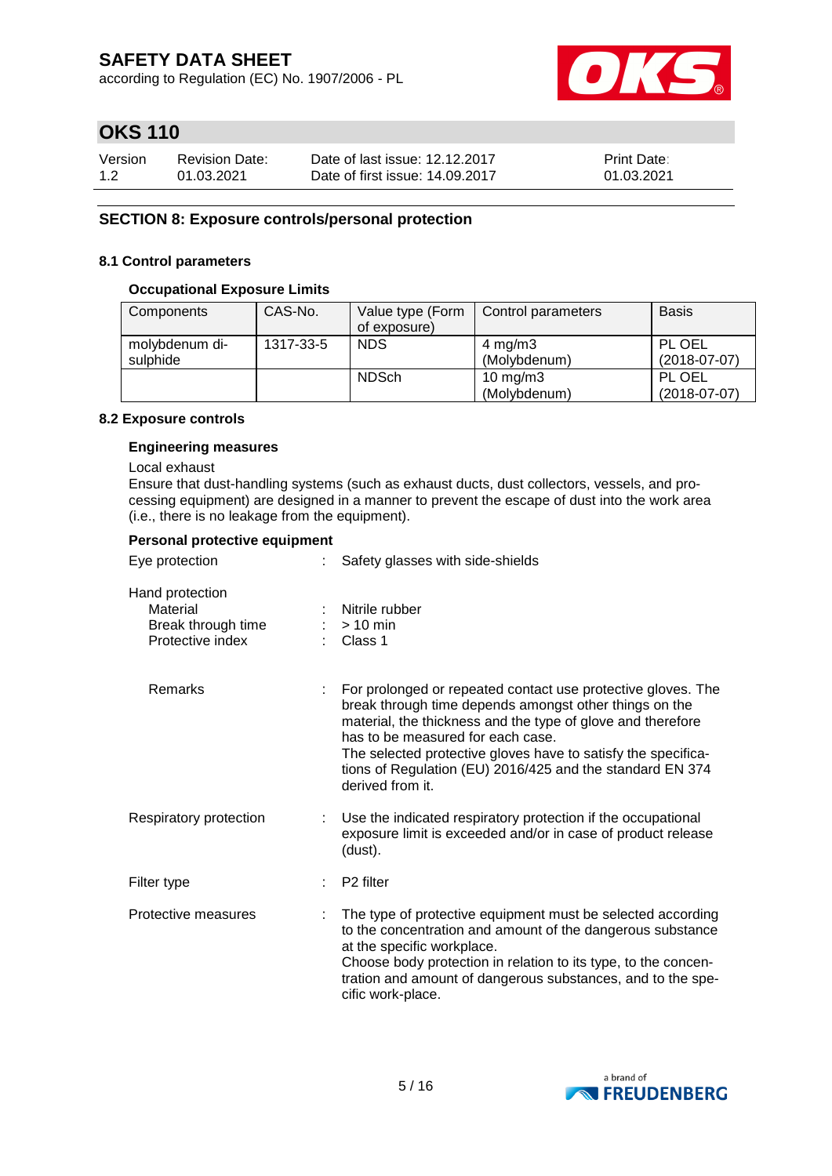according to Regulation (EC) No. 1907/2006 - PL



# **OKS 110**

| Version | Revision Date: | Date of last issue: 12.12.2017  | <b>Print Date:</b> |
|---------|----------------|---------------------------------|--------------------|
| 1.2     | 01.03.2021     | Date of first issue: 14.09.2017 | 01.03.2021         |

#### **SECTION 8: Exposure controls/personal protection**

#### **8.1 Control parameters**

#### **Occupational Exposure Limits**

| Components     | CAS-No.   | Value type (Form | Control parameters | <b>Basis</b>   |
|----------------|-----------|------------------|--------------------|----------------|
|                |           | of exposure)     |                    |                |
| molybdenum di- | 1317-33-5 | <b>NDS</b>       | $4 \text{ mg/m}$ 3 | PL OEL         |
| sulphide       |           |                  | (Molybdenum)       | $(2018-07-07)$ |
|                |           | <b>NDSch</b>     | $10 \text{ mg/m}$  | PL OEL         |
|                |           |                  | (Molybdenum)       | $(2018-07-07)$ |

#### **8.2 Exposure controls**

#### **Engineering measures**

Local exhaust

Ensure that dust-handling systems (such as exhaust ducts, dust collectors, vessels, and processing equipment) are designed in a manner to prevent the escape of dust into the work area (i.e., there is no leakage from the equipment).

#### **Personal protective equipment**

|   | Safety glasses with side-shields                                                                                                                                                                                                                                                                                                                                             |  |
|---|------------------------------------------------------------------------------------------------------------------------------------------------------------------------------------------------------------------------------------------------------------------------------------------------------------------------------------------------------------------------------|--|
|   | Nitrile rubber<br>$>10$ min<br>$\therefore$ Class 1                                                                                                                                                                                                                                                                                                                          |  |
|   | For prolonged or repeated contact use protective gloves. The<br>break through time depends amongst other things on the<br>material, the thickness and the type of glove and therefore<br>has to be measured for each case.<br>The selected protective gloves have to satisfy the specifica-<br>tions of Regulation (EU) 2016/425 and the standard EN 374<br>derived from it. |  |
| ÷ | Use the indicated respiratory protection if the occupational<br>exposure limit is exceeded and/or in case of product release<br>(dust).                                                                                                                                                                                                                                      |  |
|   | P <sub>2</sub> filter                                                                                                                                                                                                                                                                                                                                                        |  |
|   | The type of protective equipment must be selected according<br>to the concentration and amount of the dangerous substance<br>at the specific workplace.<br>Choose body protection in relation to its type, to the concen-<br>tration and amount of dangerous substances, and to the spe-<br>cific work-place.                                                                |  |
|   |                                                                                                                                                                                                                                                                                                                                                                              |  |

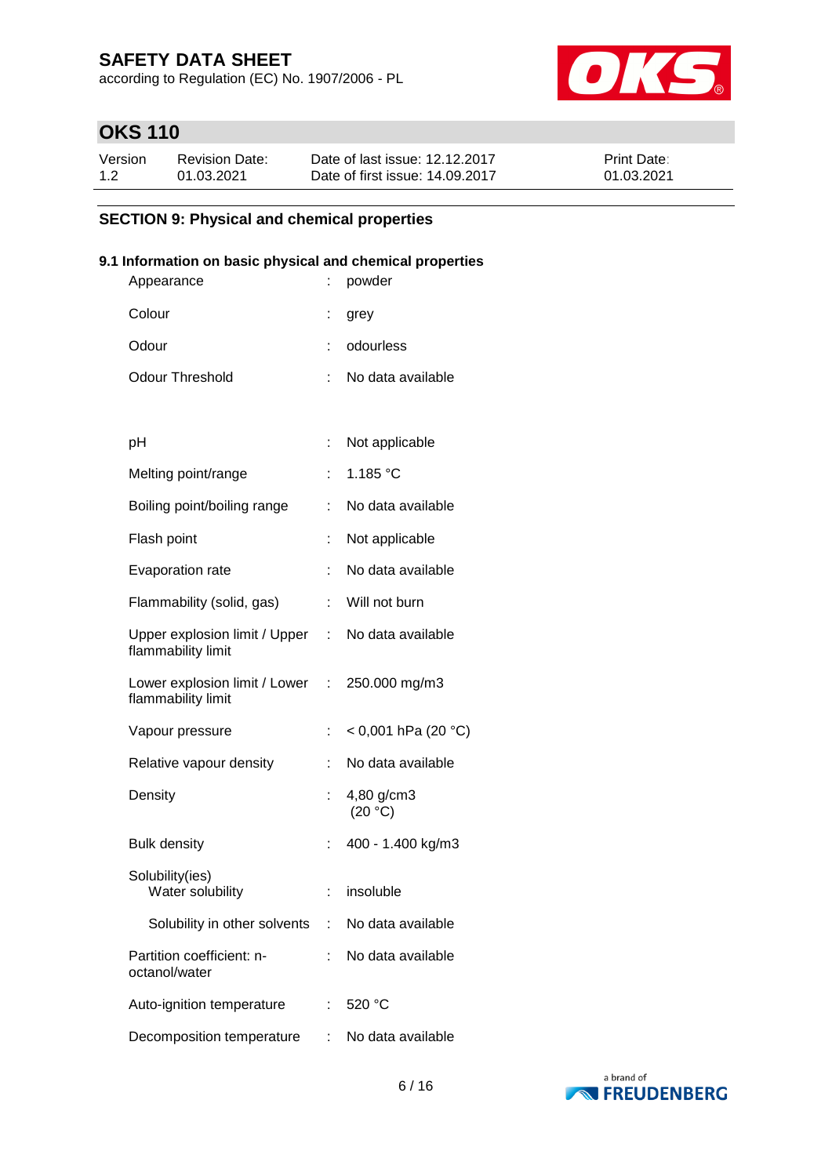according to Regulation (EC) No. 1907/2006 - PL



# **OKS 110**

| Version | <b>Revision Date:</b> | Date of last issue: 12.12.2017  | <b>Print Date:</b> |
|---------|-----------------------|---------------------------------|--------------------|
| 1.2     | 01.03.2021            | Date of first issue: 14.09.2017 | 01.03.2021         |

### **SECTION 9: Physical and chemical properties**

#### **9.1 Information on basic physical and chemical properties**

| Appearance                                            |    | powder                |
|-------------------------------------------------------|----|-----------------------|
| Colour                                                |    | grey                  |
| Odour                                                 |    | odourless             |
| <b>Odour Threshold</b>                                | ÷  | No data available     |
|                                                       |    |                       |
| рH                                                    | t  | Not applicable        |
| Melting point/range                                   | ÷  | 1.185 $°C$            |
| Boiling point/boiling range                           |    | No data available     |
| Flash point                                           | t  | Not applicable        |
| Evaporation rate                                      | ÷  | No data available     |
| Flammability (solid, gas)                             | ÷  | Will not burn         |
| Upper explosion limit / Upper :<br>flammability limit |    | No data available     |
| Lower explosion limit / Lower :<br>flammability limit |    | 250.000 mg/m3         |
| Vapour pressure                                       | ÷  | $<$ 0,001 hPa (20 °C) |
| Relative vapour density                               | t. | No data available     |
| Density                                               |    | 4,80 g/cm3<br>(20 °C) |
| <b>Bulk density</b>                                   |    | 400 - 1.400 kg/m3     |
| Solubility(ies)<br>Water solubility                   | t. | insoluble             |
| Solubility in other solvents :                        |    | No data available     |
| Partition coefficient: n-<br>octanol/water            |    | No data available     |
| Auto-ignition temperature                             | ÷  | 520 °C                |
| Decomposition temperature                             |    | No data available     |

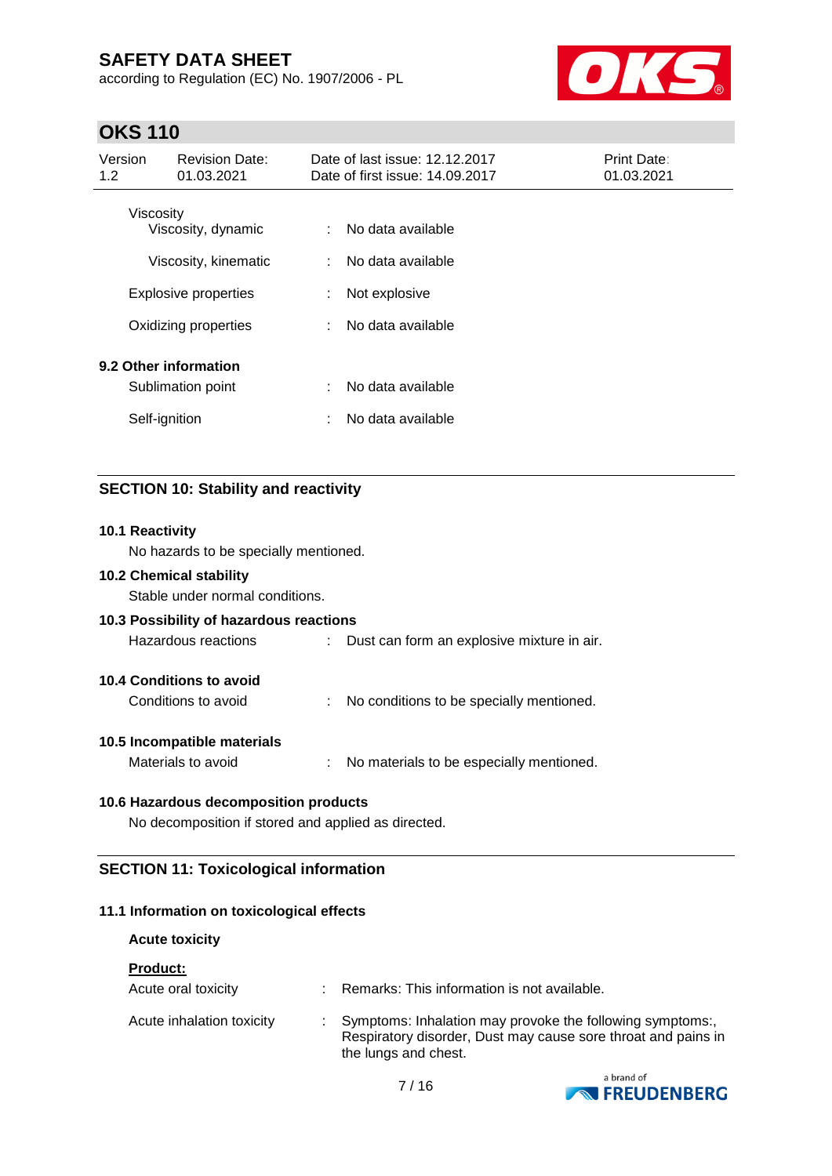according to Regulation (EC) No. 1907/2006 - PL



# **OKS 110**

| Version<br>1.2                         | <b>Revision Date:</b><br>01.03.2021                 |        | Date of last issue: 12.12.2017<br>Date of first issue: 14.09.2017 | <b>Print Date:</b><br>01.03.2021 |
|----------------------------------------|-----------------------------------------------------|--------|-------------------------------------------------------------------|----------------------------------|
| <b>Viscosity</b><br>Viscosity, dynamic |                                                     | ÷.     | No data available                                                 |                                  |
|                                        | Viscosity, kinematic<br><b>Explosive properties</b> | ÷<br>÷ | No data available<br>Not explosive                                |                                  |
|                                        | Oxidizing properties                                | ÷      | No data available                                                 |                                  |
|                                        | 9.2 Other information                               |        |                                                                   |                                  |
|                                        | Sublimation point                                   | ÷      | No data available                                                 |                                  |
|                                        | Self-ignition                                       | ÷      | No data available                                                 |                                  |

#### **SECTION 10: Stability and reactivity**

# **10.1 Reactivity** No hazards to be specially mentioned. **10.2 Chemical stability** Stable under normal conditions. **10.3 Possibility of hazardous reactions** Hazardous reactions : Dust can form an explosive mixture in air. **10.4 Conditions to avoid** Conditions to avoid : No conditions to be specially mentioned. **10.5 Incompatible materials** Materials to avoid : No materials to be especially mentioned. **10.6 Hazardous decomposition products** No decomposition if stored and applied as directed.

#### **SECTION 11: Toxicological information**

#### **11.1 Information on toxicological effects**

#### **Acute toxicity**

| <b>Product:</b>           |                                                                                                                                                   |
|---------------------------|---------------------------------------------------------------------------------------------------------------------------------------------------|
| Acute oral toxicity       | Remarks: This information is not available.                                                                                                       |
| Acute inhalation toxicity | Symptoms: Inhalation may provoke the following symptoms:<br>Respiratory disorder, Dust may cause sore throat and pains in<br>the lungs and chest. |

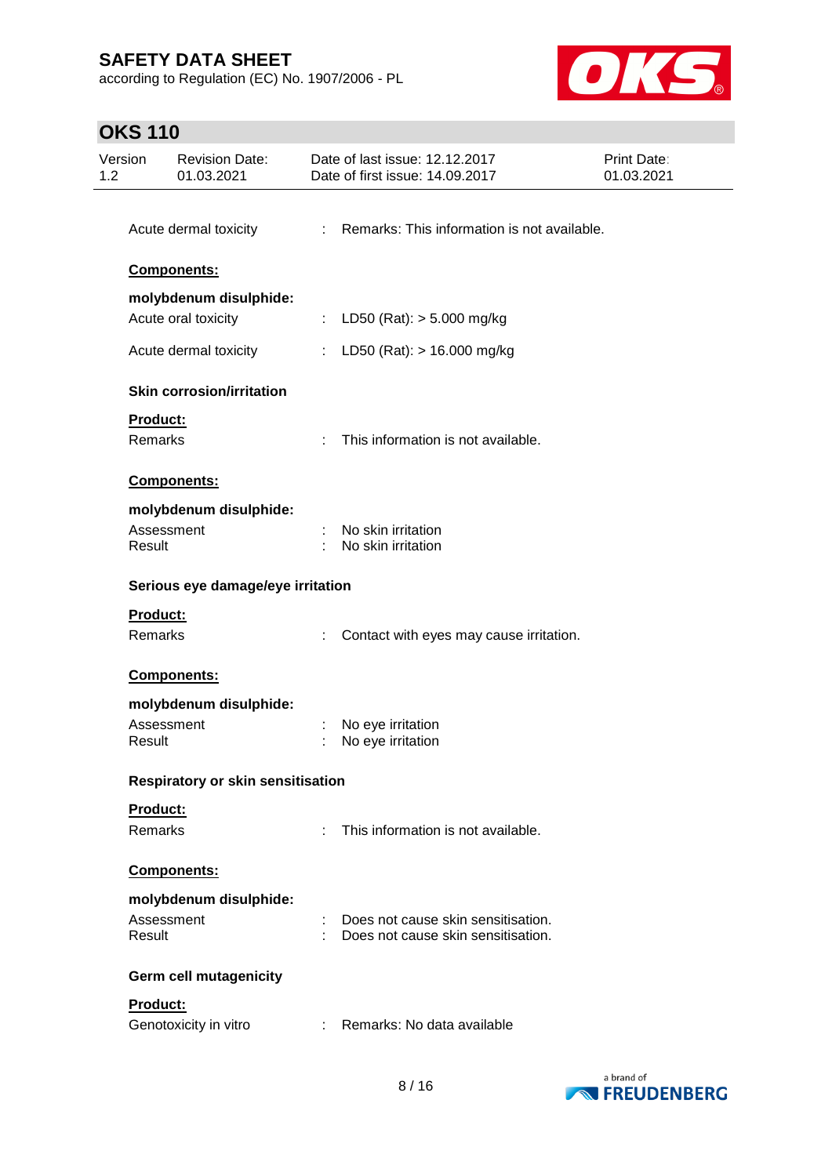according to Regulation (EC) No. 1907/2006 - PL



# **OKS 110**

| 1.2 | 01.03.2021                                     |    | Date of last issue: 12.12.2017<br>Date of first issue: 14.09.2017        | Print Date:<br>01.03.2021 |
|-----|------------------------------------------------|----|--------------------------------------------------------------------------|---------------------------|
|     | Acute dermal toxicity                          |    | : Remarks: This information is not available.                            |                           |
|     | Components:                                    |    |                                                                          |                           |
|     | molybdenum disulphide:<br>Acute oral toxicity  |    | : LD50 (Rat): $>$ 5.000 mg/kg                                            |                           |
|     | Acute dermal toxicity                          |    | : LD50 (Rat): $> 16.000$ mg/kg                                           |                           |
|     | <b>Skin corrosion/irritation</b>               |    |                                                                          |                           |
|     | Product:<br><b>Remarks</b>                     | ÷. | This information is not available.                                       |                           |
|     | Components:                                    |    |                                                                          |                           |
|     | molybdenum disulphide:<br>Assessment<br>Result |    | No skin irritation<br>No skin irritation                                 |                           |
|     | Serious eye damage/eye irritation              |    |                                                                          |                           |
|     | <b>Product:</b><br>Remarks                     |    | Contact with eyes may cause irritation.                                  |                           |
|     | Components:                                    |    |                                                                          |                           |
|     | molybdenum disulphide:<br>Assessment<br>Result |    | No eye irritation<br>No eye irritation                                   |                           |
|     | Respiratory or skin sensitisation              |    |                                                                          |                           |
|     | <b>Product:</b><br>Remarks                     |    | This information is not available.                                       |                           |
|     | Components:                                    |    |                                                                          |                           |
|     | molybdenum disulphide:                         |    |                                                                          |                           |
|     | Assessment<br>Result                           |    | Does not cause skin sensitisation.<br>Does not cause skin sensitisation. |                           |
|     | Germ cell mutagenicity                         |    |                                                                          |                           |
|     | Product:<br>Genotoxicity in vitro              |    | : Remarks: No data available                                             |                           |

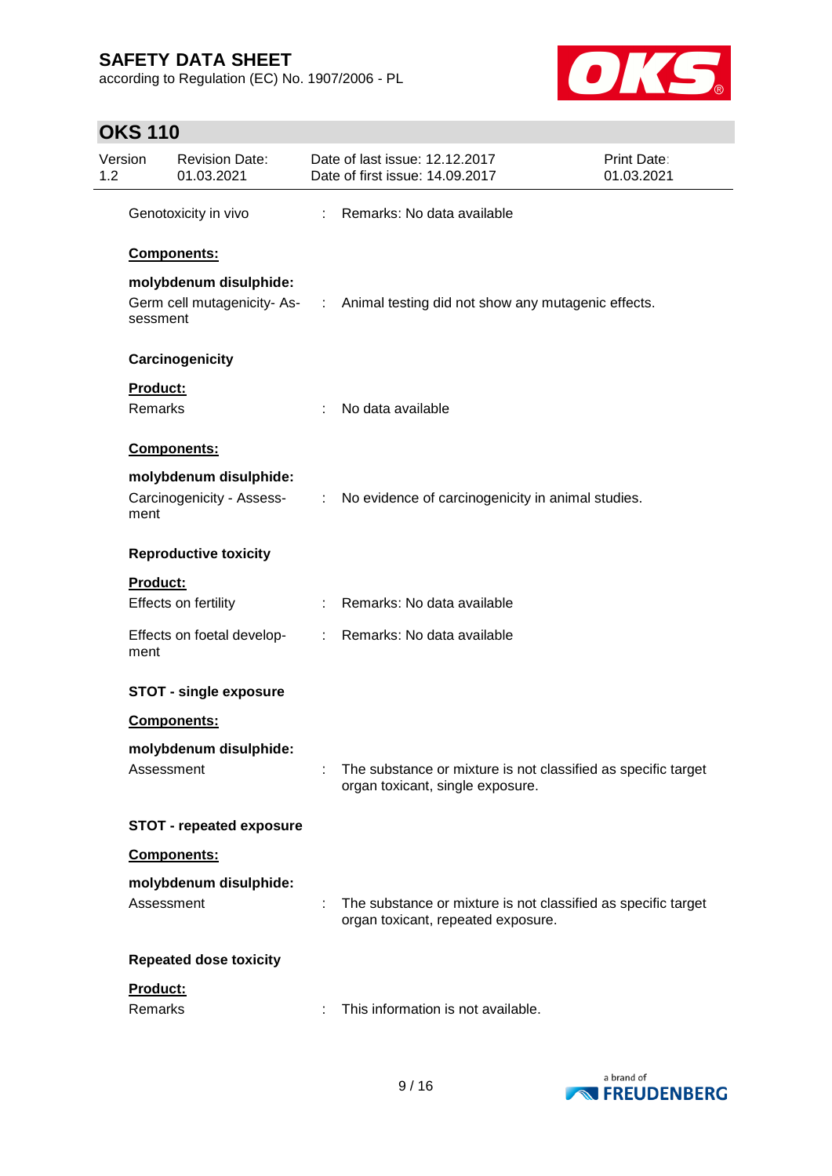according to Regulation (EC) No. 1907/2006 - PL



# **OKS 110**

| Version<br>1.2 |                     | <b>Revision Date:</b><br>01.03.2021                 | Date of last issue: 12.12.2017<br>Date of first issue: 14.09.2017                                   | Print Date:<br>01.03.2021 |
|----------------|---------------------|-----------------------------------------------------|-----------------------------------------------------------------------------------------------------|---------------------------|
|                |                     | Genotoxicity in vivo                                | : Remarks: No data available                                                                        |                           |
|                |                     | Components:                                         |                                                                                                     |                           |
|                | sessment            | molybdenum disulphide:                              | Germ cell mutagenicity- As- : Animal testing did not show any mutagenic effects.                    |                           |
|                |                     | Carcinogenicity                                     |                                                                                                     |                           |
|                | Product:<br>Remarks |                                                     | No data available                                                                                   |                           |
|                |                     | Components:                                         |                                                                                                     |                           |
|                | ment                | molybdenum disulphide:<br>Carcinogenicity - Assess- | : No evidence of carcinogenicity in animal studies.                                                 |                           |
|                |                     | <b>Reproductive toxicity</b>                        |                                                                                                     |                           |
|                | Product:            | Effects on fertility                                | : Remarks: No data available                                                                        |                           |
|                | ment                | Effects on foetal develop-                          | : Remarks: No data available                                                                        |                           |
|                |                     | <b>STOT - single exposure</b>                       |                                                                                                     |                           |
|                |                     | <b>Components:</b>                                  |                                                                                                     |                           |
|                |                     | molybdenum disulphide:<br>Assessment                | The substance or mixture is not classified as specific target<br>organ toxicant, single exposure.   |                           |
|                |                     | <b>STOT - repeated exposure</b>                     |                                                                                                     |                           |
|                |                     | Components:                                         |                                                                                                     |                           |
|                |                     | molybdenum disulphide:<br>Assessment                | The substance or mixture is not classified as specific target<br>organ toxicant, repeated exposure. |                           |
|                |                     | <b>Repeated dose toxicity</b>                       |                                                                                                     |                           |
|                | Product:<br>Remarks |                                                     | This information is not available.                                                                  |                           |

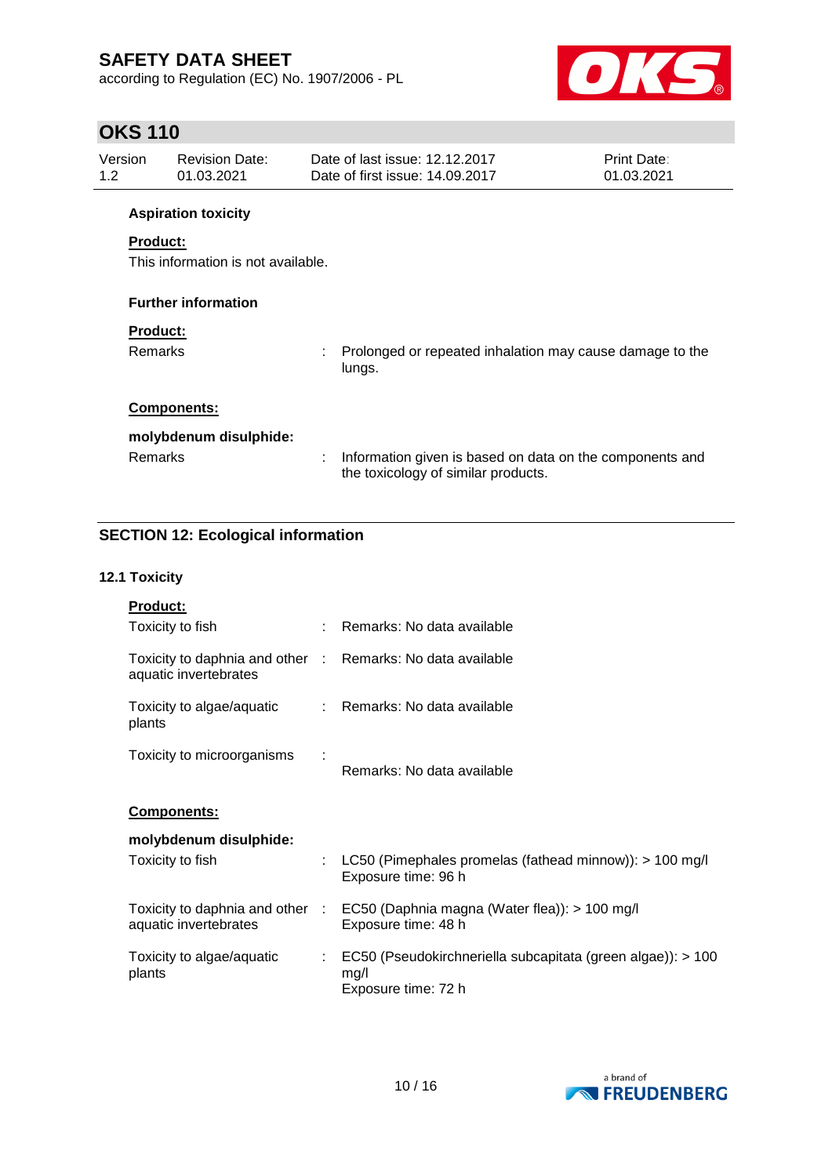according to Regulation (EC) No. 1907/2006 - PL



# **OKS 110**

| Version<br>1.2 <sub>1</sub>                              |                 | <b>Revision Date:</b><br>01.03.2021                              |                                                          | Date of last issue: 12.12.2017<br>Date of first issue: 14.09.2017                               | <b>Print Date:</b><br>01.03.2021 |
|----------------------------------------------------------|-----------------|------------------------------------------------------------------|----------------------------------------------------------|-------------------------------------------------------------------------------------------------|----------------------------------|
|                                                          | <b>Product:</b> | <b>Aspiration toxicity</b><br>This information is not available. |                                                          |                                                                                                 |                                  |
| <b>Further information</b><br><b>Product:</b><br>Remarks |                 | t.                                                               | Prolonged or repeated inhalation may cause damage to the |                                                                                                 |                                  |
|                                                          |                 | <b>Components:</b><br>molybdenum disulphide:                     |                                                          | lungs.                                                                                          |                                  |
|                                                          | <b>Remarks</b>  |                                                                  | ÷.                                                       | Information given is based on data on the components and<br>the toxicology of similar products. |                                  |

# **SECTION 12: Ecological information**

#### **12.1 Toxicity**

| Product:                                                                            |    |                                                                                            |
|-------------------------------------------------------------------------------------|----|--------------------------------------------------------------------------------------------|
| Toxicity to fish                                                                    |    | : Remarks: No data available                                                               |
| Toxicity to daphnia and other : Remarks: No data available<br>aquatic invertebrates |    |                                                                                            |
| Toxicity to algae/aquatic<br>plants                                                 |    | : Remarks: No data available                                                               |
| Toxicity to microorganisms                                                          |    | Remarks: No data available                                                                 |
| Components:                                                                         |    |                                                                                            |
| molybdenum disulphide:                                                              |    |                                                                                            |
| Toxicity to fish                                                                    | ÷. | LC50 (Pimephales promelas (fathead minnow)): $> 100$ mg/l<br>Exposure time: 96 h           |
| Toxicity to daphnia and other :<br>aquatic invertebrates                            |    | EC50 (Daphnia magna (Water flea)): > 100 mg/l<br>Exposure time: 48 h                       |
| Toxicity to algae/aquatic<br>plants                                                 | ÷. | EC50 (Pseudokirchneriella subcapitata (green algae)): > 100<br>mg/l<br>Exposure time: 72 h |

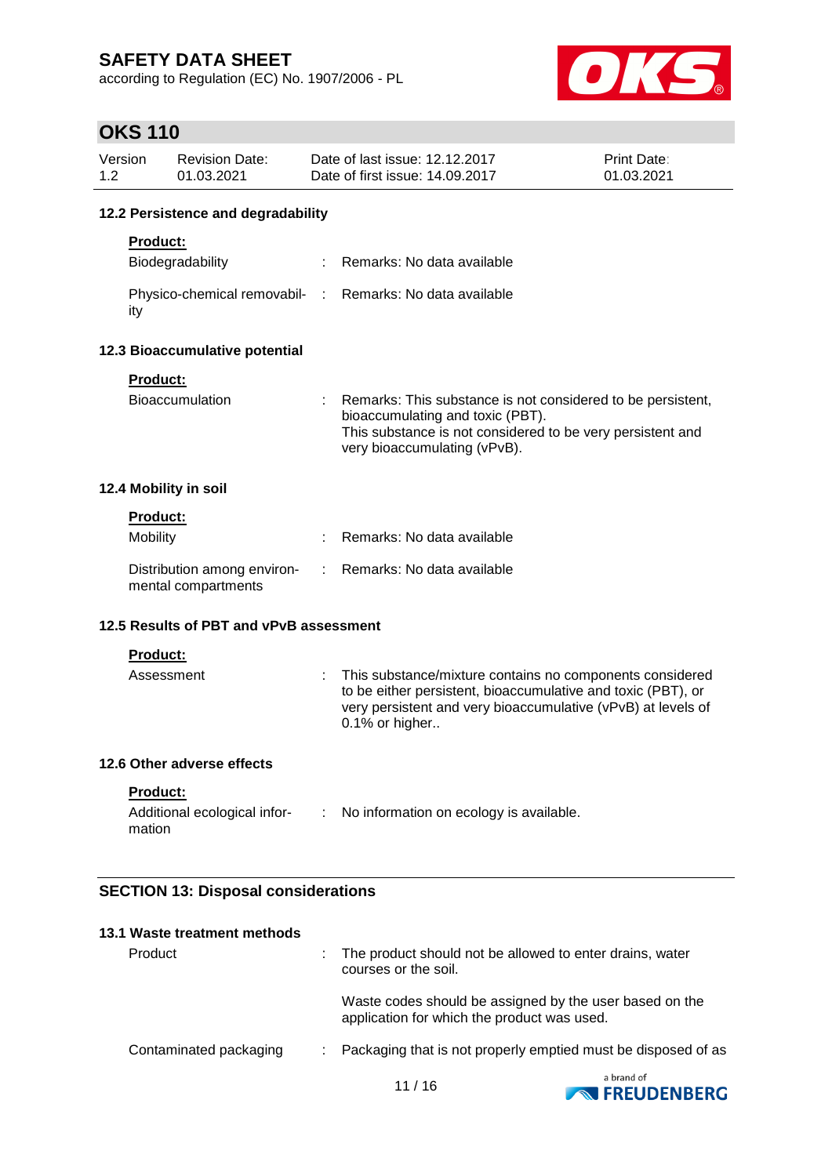according to Regulation (EC) No. 1907/2006 - PL



# **OKS 110**

| 12.2 Persistence and degradability<br>Product:<br>Biodegradability<br>12.3 Bioaccumulative potential |   | Remarks: No data available<br>Physico-chemical removabil- : Remarks: No data available                                          |                                                                                                                                                                                                                                                                                                                                                                                                                           |
|------------------------------------------------------------------------------------------------------|---|---------------------------------------------------------------------------------------------------------------------------------|---------------------------------------------------------------------------------------------------------------------------------------------------------------------------------------------------------------------------------------------------------------------------------------------------------------------------------------------------------------------------------------------------------------------------|
|                                                                                                      |   |                                                                                                                                 |                                                                                                                                                                                                                                                                                                                                                                                                                           |
|                                                                                                      |   |                                                                                                                                 |                                                                                                                                                                                                                                                                                                                                                                                                                           |
|                                                                                                      |   |                                                                                                                                 |                                                                                                                                                                                                                                                                                                                                                                                                                           |
|                                                                                                      |   |                                                                                                                                 |                                                                                                                                                                                                                                                                                                                                                                                                                           |
|                                                                                                      |   |                                                                                                                                 |                                                                                                                                                                                                                                                                                                                                                                                                                           |
| Product:                                                                                             |   |                                                                                                                                 |                                                                                                                                                                                                                                                                                                                                                                                                                           |
| Bioaccumulation                                                                                      |   | Remarks: This substance is not considered to be persistent,<br>bioaccumulating and toxic (PBT).<br>very bioaccumulating (vPvB). |                                                                                                                                                                                                                                                                                                                                                                                                                           |
| 12.4 Mobility in soil                                                                                |   |                                                                                                                                 |                                                                                                                                                                                                                                                                                                                                                                                                                           |
| <b>Product:</b>                                                                                      |   |                                                                                                                                 |                                                                                                                                                                                                                                                                                                                                                                                                                           |
| Mobility                                                                                             |   | Remarks: No data available                                                                                                      |                                                                                                                                                                                                                                                                                                                                                                                                                           |
| Distribution among environ-<br>mental compartments                                                   | ÷ | Remarks: No data available                                                                                                      |                                                                                                                                                                                                                                                                                                                                                                                                                           |
|                                                                                                      |   |                                                                                                                                 |                                                                                                                                                                                                                                                                                                                                                                                                                           |
| Product:                                                                                             |   |                                                                                                                                 |                                                                                                                                                                                                                                                                                                                                                                                                                           |
| Assessment                                                                                           | ÷ | 0.1% or higher                                                                                                                  |                                                                                                                                                                                                                                                                                                                                                                                                                           |
| 12.6 Other adverse effects                                                                           |   |                                                                                                                                 |                                                                                                                                                                                                                                                                                                                                                                                                                           |
| Product:                                                                                             |   |                                                                                                                                 |                                                                                                                                                                                                                                                                                                                                                                                                                           |
| mation                                                                                               |   |                                                                                                                                 |                                                                                                                                                                                                                                                                                                                                                                                                                           |
|                                                                                                      |   |                                                                                                                                 | This substance is not considered to be very persistent and<br>12.5 Results of PBT and vPvB assessment<br>This substance/mixture contains no components considered<br>to be either persistent, bioaccumulative and toxic (PBT), or<br>very persistent and very bioaccumulative (vPvB) at levels of<br>Additional ecological infor- : No information on ecology is available.<br><b>SECTION 13: Disposal considerations</b> |

| Product                | The product should not be allowed to enter drains, water<br>courses or the soil.                       |
|------------------------|--------------------------------------------------------------------------------------------------------|
|                        | Waste codes should be assigned by the user based on the<br>application for which the product was used. |
| Contaminated packaging | Packaging that is not properly emptied must be disposed of as                                          |
|                        | a hrand of                                                                                             |

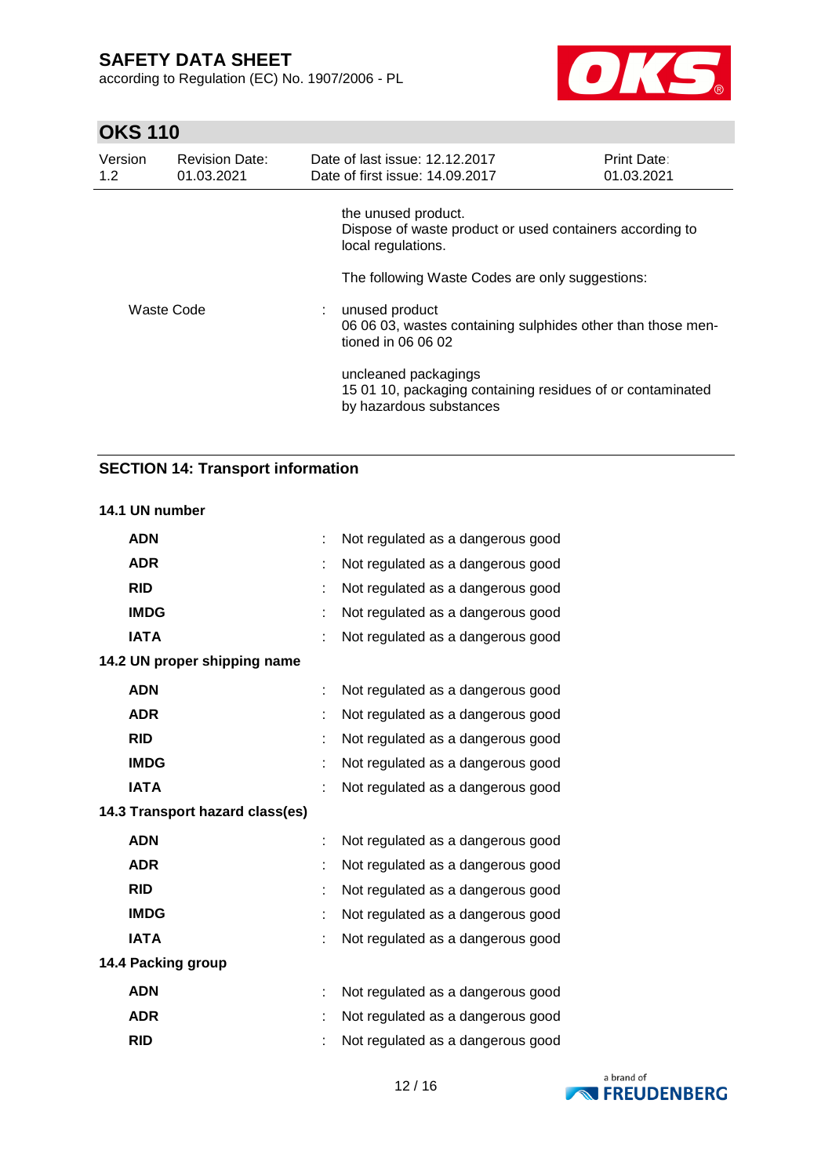according to Regulation (EC) No. 1907/2006 - PL



# **OKS 110**

| Version<br>1.2 | <b>Revision Date:</b><br>01.03.2021 | Date of last issue: 12.12.2017<br>Date of first issue: 14.09.2017                                             | <b>Print Date:</b><br>01.03.2021                |  |  |  |
|----------------|-------------------------------------|---------------------------------------------------------------------------------------------------------------|-------------------------------------------------|--|--|--|
|                |                                     | the unused product.<br>Dispose of waste product or used containers according to<br>local regulations.         |                                                 |  |  |  |
|                |                                     |                                                                                                               | The following Waste Codes are only suggestions: |  |  |  |
|                | Waste Code                          | : unused product<br>06 06 03, wastes containing sulphides other than those men-<br>tioned in 06 06 02         |                                                 |  |  |  |
|                |                                     | uncleaned packagings<br>15 01 10, packaging containing residues of or contaminated<br>by hazardous substances |                                                 |  |  |  |

### **SECTION 14: Transport information**

#### **14.1 UN number**

| <b>ADN</b>                      |    | Not regulated as a dangerous good |
|---------------------------------|----|-----------------------------------|
| <b>ADR</b>                      | t  | Not regulated as a dangerous good |
| <b>RID</b>                      |    | Not regulated as a dangerous good |
| <b>IMDG</b>                     | t. | Not regulated as a dangerous good |
| <b>IATA</b>                     |    | Not regulated as a dangerous good |
| 14.2 UN proper shipping name    |    |                                   |
| <b>ADN</b>                      | t  | Not regulated as a dangerous good |
| <b>ADR</b>                      |    | Not regulated as a dangerous good |
| <b>RID</b>                      |    | Not regulated as a dangerous good |
| <b>IMDG</b>                     |    | Not regulated as a dangerous good |
| <b>IATA</b>                     |    | Not regulated as a dangerous good |
| 14.3 Transport hazard class(es) |    |                                   |
| <b>ADN</b>                      | t. | Not regulated as a dangerous good |
| <b>ADR</b>                      |    | Not regulated as a dangerous good |
| <b>RID</b>                      | t. | Not regulated as a dangerous good |
| <b>IMDG</b>                     |    | Not regulated as a dangerous good |
| <b>IATA</b>                     | t. | Not regulated as a dangerous good |
| 14.4 Packing group              |    |                                   |
| <b>ADN</b>                      |    | Not regulated as a dangerous good |
| <b>ADR</b>                      |    | Not regulated as a dangerous good |
| <b>RID</b>                      |    | Not regulated as a dangerous good |

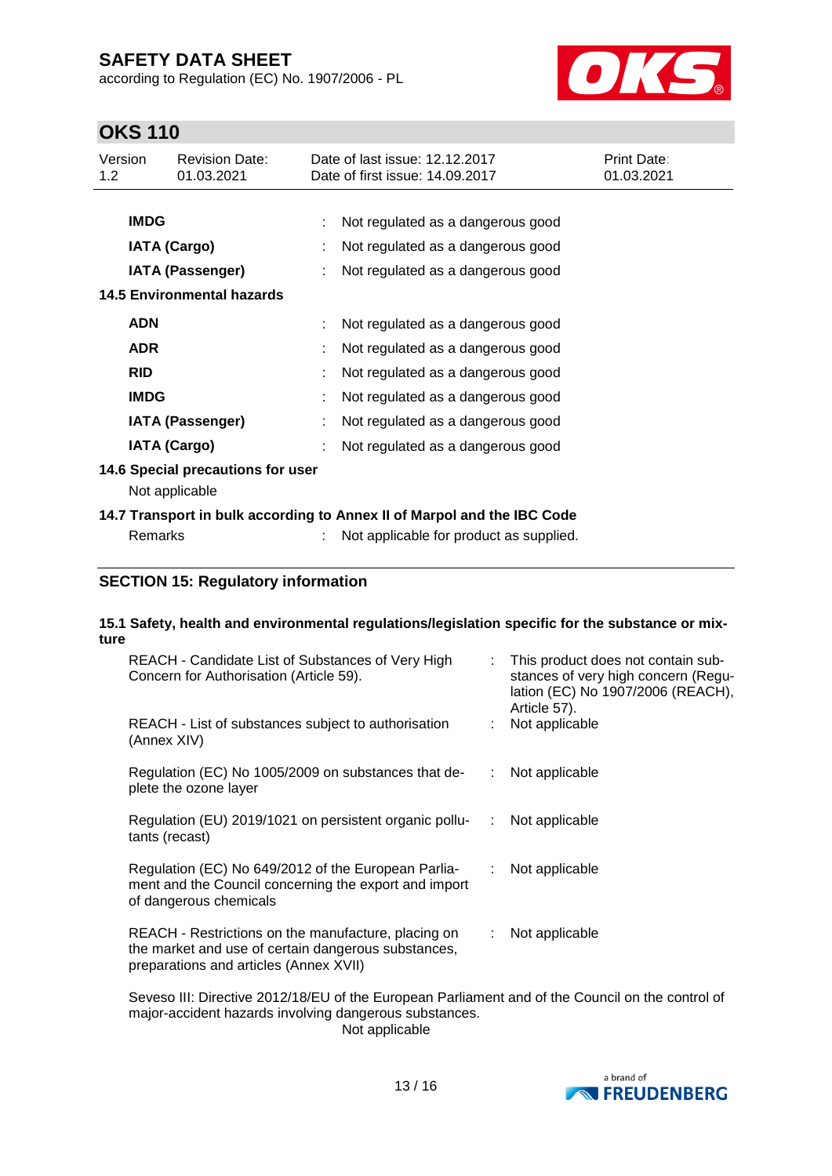according to Regulation (EC) No. 1907/2006 - PL



# **OKS 110**

| Version<br>1.2 <sub>2</sub>                         |             | <b>Revision Date:</b><br>01.03.2021 | Date of last issue: 12.12.2017<br>Date of first issue: 14.09.2017 | Print Date:<br>01.03.2021 |
|-----------------------------------------------------|-------------|-------------------------------------|-------------------------------------------------------------------|---------------------------|
|                                                     |             |                                     |                                                                   |                           |
|                                                     | <b>IMDG</b> |                                     | Not regulated as a dangerous good                                 |                           |
|                                                     |             | <b>IATA (Cargo)</b>                 | Not regulated as a dangerous good                                 |                           |
|                                                     |             | IATA (Passenger)                    | Not regulated as a dangerous good                                 |                           |
| <b>14.5 Environmental hazards</b>                   |             |                                     |                                                                   |                           |
|                                                     | <b>ADN</b>  |                                     | Not regulated as a dangerous good                                 |                           |
|                                                     | <b>ADR</b>  |                                     | Not regulated as a dangerous good                                 |                           |
|                                                     | <b>RID</b>  |                                     | Not regulated as a dangerous good                                 |                           |
|                                                     | <b>IMDG</b> |                                     | Not regulated as a dangerous good                                 |                           |
|                                                     |             | <b>IATA (Passenger)</b>             | Not regulated as a dangerous good                                 |                           |
|                                                     |             | <b>IATA (Cargo)</b>                 | Not regulated as a dangerous good                                 |                           |
| 14.6 Special precautions for user<br>Not applicable |             |                                     |                                                                   |                           |

#### **14.7 Transport in bulk according to Annex II of Marpol and the IBC Code** Remarks : Not applicable for product as supplied.

#### **SECTION 15: Regulatory information**

#### **15.1 Safety, health and environmental regulations/legislation specific for the substance or mixture**

| REACH - Candidate List of Substances of Very High<br>Concern for Authorisation (Article 59).                                                         |    | This product does not contain sub-<br>stances of very high concern (Regu-<br>lation (EC) No 1907/2006 (REACH),<br>Article 57). |
|------------------------------------------------------------------------------------------------------------------------------------------------------|----|--------------------------------------------------------------------------------------------------------------------------------|
| REACH - List of substances subject to authorisation<br>(Annex XIV)                                                                                   |    | Not applicable                                                                                                                 |
| Regulation (EC) No 1005/2009 on substances that de-<br>plete the ozone layer                                                                         | ÷. | Not applicable                                                                                                                 |
| Regulation (EU) 2019/1021 on persistent organic pollu-<br>tants (recast)                                                                             | ÷  | Not applicable                                                                                                                 |
| Regulation (EC) No 649/2012 of the European Parlia-<br>ment and the Council concerning the export and import<br>of dangerous chemicals               |    | : Not applicable                                                                                                               |
| REACH - Restrictions on the manufacture, placing on<br>the market and use of certain dangerous substances,<br>preparations and articles (Annex XVII) |    | Not applicable                                                                                                                 |

Seveso III: Directive 2012/18/EU of the European Parliament and of the Council on the control of major-accident hazards involving dangerous substances. Not applicable

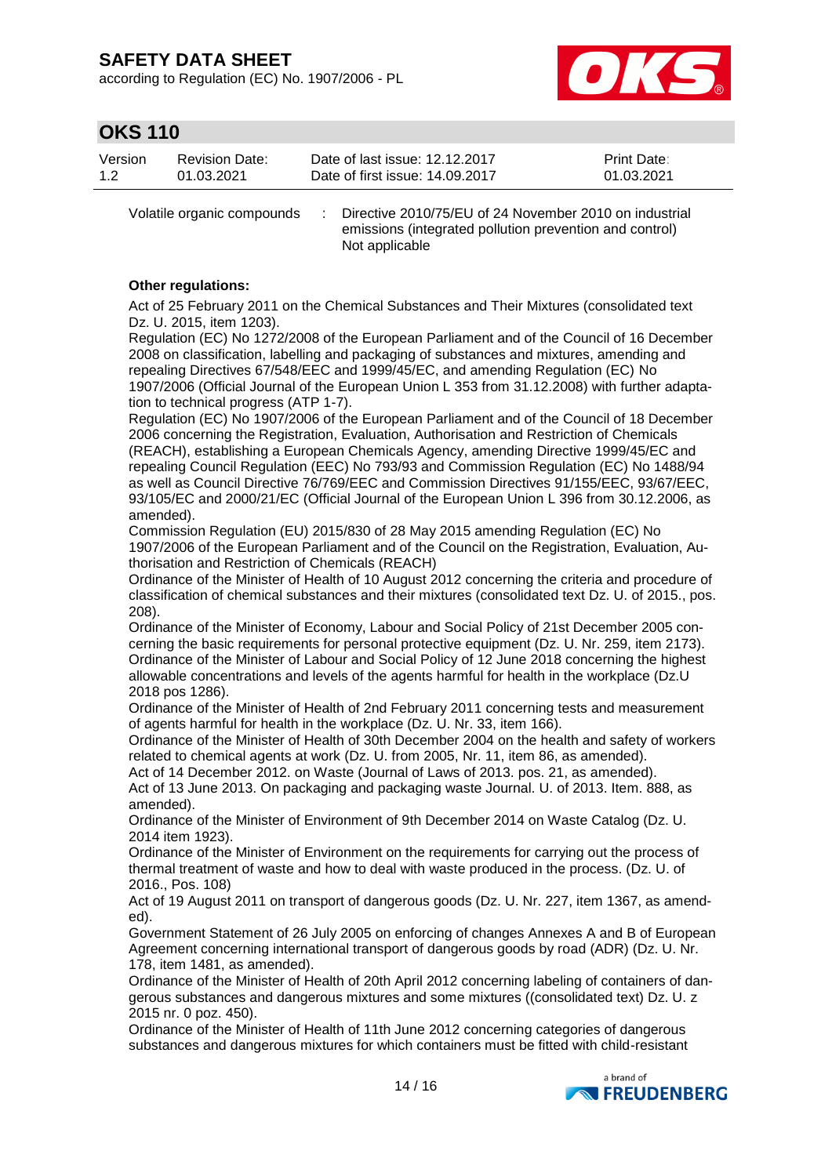according to Regulation (EC) No. 1907/2006 - PL



### **OKS 110**

| Version | Revision Date: | Date of last issue: 12.12.2017  | <b>Print Date:</b> |
|---------|----------------|---------------------------------|--------------------|
| 1.2     | 01.03.2021     | Date of first issue: 14.09.2017 | 01.03.2021         |

Volatile organic compounds : Directive 2010/75/EU of 24 November 2010 on industrial emissions (integrated pollution prevention and control) Not applicable

#### **Other regulations:**

Act of 25 February 2011 on the Chemical Substances and Their Mixtures (consolidated text Dz. U. 2015, item 1203).

Regulation (EC) No 1272/2008 of the European Parliament and of the Council of 16 December 2008 on classification, labelling and packaging of substances and mixtures, amending and repealing Directives 67/548/EEC and 1999/45/EC, and amending Regulation (EC) No 1907/2006 (Official Journal of the European Union L 353 from 31.12.2008) with further adaptation to technical progress (ATP 1-7).

Regulation (EC) No 1907/2006 of the European Parliament and of the Council of 18 December 2006 concerning the Registration, Evaluation, Authorisation and Restriction of Chemicals (REACH), establishing a European Chemicals Agency, amending Directive 1999/45/EC and repealing Council Regulation (EEC) No 793/93 and Commission Regulation (EC) No 1488/94 as well as Council Directive 76/769/EEC and Commission Directives 91/155/EEC, 93/67/EEC, 93/105/EC and 2000/21/EC (Official Journal of the European Union L 396 from 30.12.2006, as amended).

Commission Regulation (EU) 2015/830 of 28 May 2015 amending Regulation (EC) No 1907/2006 of the European Parliament and of the Council on the Registration, Evaluation, Authorisation and Restriction of Chemicals (REACH)

Ordinance of the Minister of Health of 10 August 2012 concerning the criteria and procedure of classification of chemical substances and their mixtures (consolidated text Dz. U. of 2015., pos. 208).

Ordinance of the Minister of Economy, Labour and Social Policy of 21st December 2005 concerning the basic requirements for personal protective equipment (Dz. U. Nr. 259, item 2173). Ordinance of the Minister of Labour and Social Policy of 12 June 2018 concerning the highest allowable concentrations and levels of the agents harmful for health in the workplace (Dz.U 2018 pos 1286).

Ordinance of the Minister of Health of 2nd February 2011 concerning tests and measurement of agents harmful for health in the workplace (Dz. U. Nr. 33, item 166).

Ordinance of the Minister of Health of 30th December 2004 on the health and safety of workers related to chemical agents at work (Dz. U. from 2005, Nr. 11, item 86, as amended).

Act of 14 December 2012. on Waste (Journal of Laws of 2013. pos. 21, as amended).

Act of 13 June 2013. On packaging and packaging waste Journal. U. of 2013. Item. 888, as amended).

Ordinance of the Minister of Environment of 9th December 2014 on Waste Catalog (Dz. U. 2014 item 1923).

Ordinance of the Minister of Environment on the requirements for carrying out the process of thermal treatment of waste and how to deal with waste produced in the process. (Dz. U. of 2016., Pos. 108)

Act of 19 August 2011 on transport of dangerous goods (Dz. U. Nr. 227, item 1367, as amended).

Government Statement of 26 July 2005 on enforcing of changes Annexes A and B of European Agreement concerning international transport of dangerous goods by road (ADR) (Dz. U. Nr. 178, item 1481, as amended).

Ordinance of the Minister of Health of 20th April 2012 concerning labeling of containers of dangerous substances and dangerous mixtures and some mixtures ((consolidated text) Dz. U. z 2015 nr. 0 poz. 450).

Ordinance of the Minister of Health of 11th June 2012 concerning categories of dangerous substances and dangerous mixtures for which containers must be fitted with child-resistant

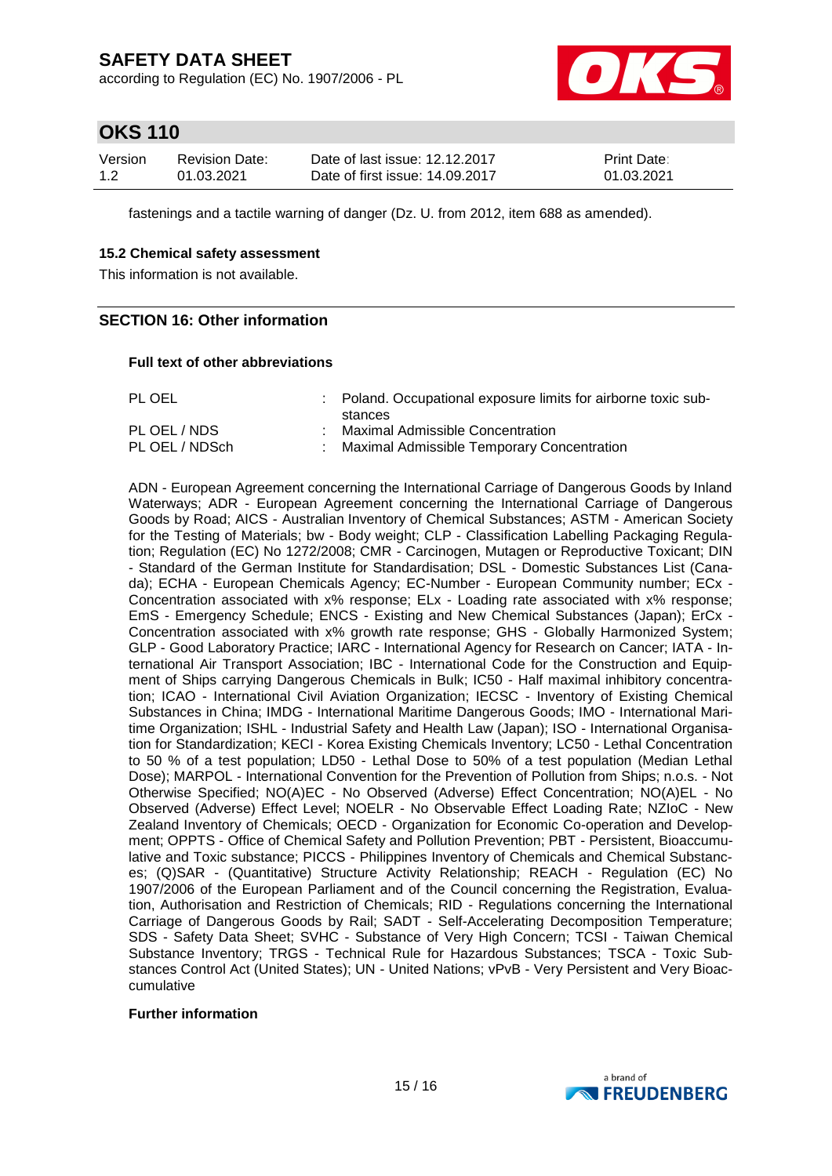according to Regulation (EC) No. 1907/2006 - PL



### **OKS 110**

| Version | Revision Date: | Date of last issue: 12.12.2017  | <b>Print Date:</b> |
|---------|----------------|---------------------------------|--------------------|
| 1.2     | 01.03.2021     | Date of first issue: 14.09.2017 | 01.03.2021         |

fastenings and a tactile warning of danger (Dz. U. from 2012, item 688 as amended).

#### **15.2 Chemical safety assessment**

This information is not available.

#### **SECTION 16: Other information**

#### **Full text of other abbreviations**

PL OEL : Poland. Occupational exposure limits for airborne toxic substances PL OEL / NDS : Maximal Admissible Concentration PL OEL / NDSch : Maximal Admissible Temporary Concentration

ADN - European Agreement concerning the International Carriage of Dangerous Goods by Inland Waterways; ADR - European Agreement concerning the International Carriage of Dangerous Goods by Road; AICS - Australian Inventory of Chemical Substances; ASTM - American Society for the Testing of Materials; bw - Body weight; CLP - Classification Labelling Packaging Regulation; Regulation (EC) No 1272/2008; CMR - Carcinogen, Mutagen or Reproductive Toxicant; DIN - Standard of the German Institute for Standardisation; DSL - Domestic Substances List (Canada); ECHA - European Chemicals Agency; EC-Number - European Community number; ECx - Concentration associated with x% response; ELx - Loading rate associated with x% response; EmS - Emergency Schedule; ENCS - Existing and New Chemical Substances (Japan); ErCx - Concentration associated with x% growth rate response; GHS - Globally Harmonized System; GLP - Good Laboratory Practice; IARC - International Agency for Research on Cancer; IATA - International Air Transport Association; IBC - International Code for the Construction and Equipment of Ships carrying Dangerous Chemicals in Bulk; IC50 - Half maximal inhibitory concentration; ICAO - International Civil Aviation Organization; IECSC - Inventory of Existing Chemical Substances in China; IMDG - International Maritime Dangerous Goods; IMO - International Maritime Organization; ISHL - Industrial Safety and Health Law (Japan); ISO - International Organisation for Standardization; KECI - Korea Existing Chemicals Inventory; LC50 - Lethal Concentration to 50 % of a test population; LD50 - Lethal Dose to 50% of a test population (Median Lethal Dose); MARPOL - International Convention for the Prevention of Pollution from Ships; n.o.s. - Not Otherwise Specified; NO(A)EC - No Observed (Adverse) Effect Concentration; NO(A)EL - No Observed (Adverse) Effect Level; NOELR - No Observable Effect Loading Rate; NZIoC - New Zealand Inventory of Chemicals; OECD - Organization for Economic Co-operation and Development; OPPTS - Office of Chemical Safety and Pollution Prevention; PBT - Persistent, Bioaccumulative and Toxic substance; PICCS - Philippines Inventory of Chemicals and Chemical Substances; (Q)SAR - (Quantitative) Structure Activity Relationship; REACH - Regulation (EC) No 1907/2006 of the European Parliament and of the Council concerning the Registration, Evaluation, Authorisation and Restriction of Chemicals; RID - Regulations concerning the International Carriage of Dangerous Goods by Rail; SADT - Self-Accelerating Decomposition Temperature; SDS - Safety Data Sheet; SVHC - Substance of Very High Concern; TCSI - Taiwan Chemical Substance Inventory; TRGS - Technical Rule for Hazardous Substances; TSCA - Toxic Substances Control Act (United States); UN - United Nations; vPvB - Very Persistent and Very Bioaccumulative

#### **Further information**